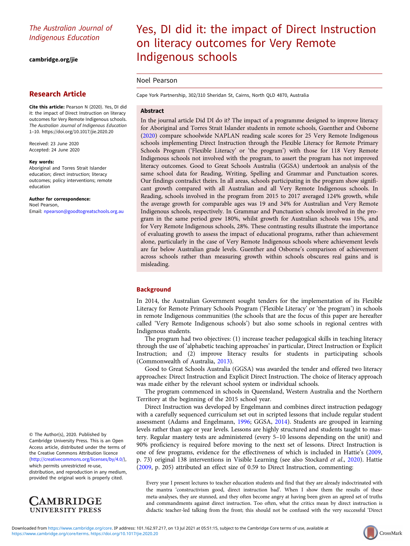# The Australian Journal of Indigenous Education

[cambridge.org/jie](https://www.cambridge.org/jie)

# Research Article

Cite this article: Pearson N (2020). Yes, DI did it: the impact of Direct Instruction on literacy outcomes for Very Remote Indigenous schools. The Australian Journal of Indigenous Education 1–10.<https://doi.org/10.1017/jie.2020.20>

Received: 23 June 2020 Accepted: 24 June 2020

#### Key words:

Aboriginal and Torres Strait Islander education; direct instruction; literacy outcomes; policy interventions; remote education

Author for correspondence: Noel Pearson, Email: [npearson@goodtogreatschools.org.au](mailto:npearson@goodtogreatschools.org.au)

© The Author(s), 2020. Published by Cambridge University Press. This is an Open Access article, distributed under the terms of the Creative Commons Attribution licence ([http://creativecommons.org/licenses/by/4.0/\)](http://creativecommons.org/licenses/by/4.0/),

which permits unrestricted re-use, distribution, and reproduction in any medium, provided the original work is properly cited.



# Yes, DI did it: the impact of Direct Instruction on literacy outcomes for Very Remote Indigenous schools

# Noel Pearson

Cape York Partnership, 302/310 Sheridan St, Cairns, North QLD 4870, Australia

# Abstract

In the journal article Did DI do it? The impact of a programme designed to improve literacy for Aboriginal and Torres Strait Islander students in remote schools, Guenther and Osborne ([2020](#page-8-0)) compare schoolwide NAPLAN reading scale scores for 25 Very Remote Indigenous schools implementing Direct Instruction through the Flexible Literacy for Remote Primary Schools Program ('Flexible Literacy' or 'the program') with those for 118 Very Remote Indigenous schools not involved with the program, to assert the program has not improved literacy outcomes. Good to Great Schools Australia (GGSA) undertook an analysis of the same school data for Reading, Writing, Spelling and Grammar and Punctuation scores. Our findings contradict theirs. In all areas, schools participating in the program show significant growth compared with all Australian and all Very Remote Indigenous schools. In Reading, schools involved in the program from 2015 to 2017 averaged 124% growth, while the average growth for comparable ages was 19 and 34% for Australian and Very Remote Indigenous schools, respectively. In Grammar and Punctuation schools involved in the program in the same period grew 180%, whilst growth for Australian schools was 15%, and for Very Remote Indigenous schools, 28%. These contrasting results illustrate the importance of evaluating growth to assess the impact of educational programs, rather than achievement alone, particularly in the case of Very Remote Indigenous schools where achievement levels are far below Australian grade levels. Guenther and Osborne's comparison of achievement across schools rather than measuring growth within schools obscures real gains and is misleading.

# **Background**

In 2014, the Australian Government sought tenders for the implementation of its Flexible Literacy for Remote Primary Schools Program ('Flexible Literacy' or 'the program') in schools in remote Indigenous communities (the schools that are the focus of this paper are hereafter called 'Very Remote Indigenous schools') but also some schools in regional centres with Indigenous students.

The program had two objectives: (1) increase teacher pedagogical skills in teaching literacy through the use of 'alphabetic teaching approaches' in particular, Direct Instruction or Explicit Instruction; and (2) improve literacy results for students in participating schools (Commonwealth of Australia, [2013\)](#page-8-0).

Good to Great Schools Australia (GGSA) was awarded the tender and offered two literacy approaches: Direct Instruction and Explicit Direct Instruction. The choice of literacy approach was made either by the relevant school system or individual schools.

The program commenced in schools in Queensland, Western Australia and the Northern Territory at the beginning of the 2015 school year.

Direct Instruction was developed by Engelmann and combines direct instruction pedagogy with a carefully sequenced curriculum set out in scripted lessons that include regular student assessment (Adams and Engelmann, [1996](#page-8-0); GGSA, [2014\)](#page-8-0). Students are grouped in learning levels rather than age or year levels. Lessons are highly structured and students taught to mastery. Regular mastery tests are administered (every 5–10 lessons depending on the unit) and 90% proficiency is required before moving to the next set of lessons. Direct Instruction is one of few programs, evidence for the effectiveness of which is included in Hattie's [\(2009](#page-8-0), p. 73) original 138 interventions in Visible Learning (see also Stockard et al., [2020](#page-8-0)). Hattie ([2009,](#page-8-0) p. 205) attributed an effect size of 0.59 to Direct Instruction, commenting:

Every year I present lectures to teacher education students and find that they are already indoctrinated with the mantra 'constructivism good, direct instruction bad'. When I show them the results of these meta-analyses, they are stunned, and they often become angry at having been given an agreed set of truths and commandments against direct instruction. Too often, what the critics mean by direct instruction is didactic teacher-led talking from the front; this should not be confused with the very successful 'Direct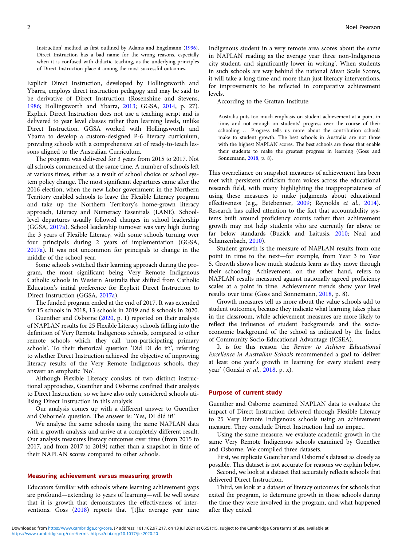Instruction' method as first outlined by Adams and Engelmann [\(1996\)](#page-8-0). Direct Instruction has a bad name for the wrong reasons, especially when it is confused with didactic teaching, as the underlying principles of Direct Instruction place it among the most successful outcomes.

Explicit Direct Instruction, developed by Hollingsworth and Ybarra, employs direct instruction pedagogy and may be said to be derivative of Direct Instruction (Rosenshine and Stevens, [1986;](#page-8-0) Hollingsworth and Ybarra, [2013;](#page-8-0) GGSA, [2014,](#page-8-0) p. 27). Explicit Direct Instruction does not use a teaching script and is delivered to year level classes rather than learning levels, unlike Direct Instruction. GGSA worked with Hollingsworth and Ybarra to develop a custom-designed P-6 literacy curriculum, providing schools with a comprehensive set of ready-to-teach lessons aligned to the Australian Curriculum.

The program was delivered for 3 years from 2015 to 2017. Not all schools commenced at the same time. A number of schools left at various times, either as a result of school choice or school system policy change. The most significant departures came after the 2016 election, when the new Labor government in the Northern Territory enabled schools to leave the Flexible Literacy program and take up the Northern Territory's home-grown literacy approach, Literacy and Numeracy Essentials (LANE). Schoollevel departures usually followed changes in school leadership (GGSA, [2017a\)](#page-8-0). School leadership turnover was very high during the 3 years of Flexible Literacy, with some schools turning over four principals during 2 years of implementation (GGSA, [2017a](#page-8-0)). It was not uncommon for principals to change in the middle of the school year.

Some schools switched their learning approach during the program, the most significant being Very Remote Indigenous Catholic schools in Western Australia that shifted from Catholic Education's initial preference for Explicit Direct Instruction to Direct Instruction (GGSA, [2017a](#page-8-0)).

The funded program ended at the end of 2017. It was extended for 15 schools in 2018, 13 schools in 2019 and 8 schools in 2020.

Guenther and Osborne ([2020](#page-8-0), p. 1) reported on their analysis of NAPLAN results for 25 Flexible Literacy schools falling into the definition of Very Remote Indigenous schools, compared to other remote schools which they call 'non-participating primary schools'. To their rhetorical question 'Did DI do it?', referring to whether Direct Instruction achieved the objective of improving literacy results of the Very Remote Indigenous schools, they answer an emphatic 'No'.

Although Flexible Literacy consists of two distinct instructional approaches, Guenther and Osborne confined their analysis to Direct Instruction, so we have also only considered schools utilising Direct Instruction in this analysis.

Our analysis comes up with a different answer to Guenther and Osborne's question. The answer is: 'Yes, DI did it!'

We analyse the same schools using the same NAPLAN data with a growth analysis and arrive at a completely different result. Our analysis measures literacy outcomes over time (from 2015 to 2017, and from 2017 to 2019) rather than a snapshot in time of their NAPLAN scores compared to other schools.

#### Measuring achievement versus measuring growth

Educators familiar with schools where learning achievement gaps are profound—extending to years of learning—will be well aware that it is growth that demonstrates the effectiveness of inter-ventions. Goss [\(2018](#page-8-0)) reports that '[t]he average year nine

Indigenous student in a very remote area scores about the same in NAPLAN reading as the average year three non-Indigenous city student, and significantly lower in writing'. When students in such schools are way behind the national Mean Scale Scores, it will take a long time and more than just literacy interventions, for improvements to be reflected in comparative achievement levels.

According to the Grattan Institute:

Australia puts too much emphasis on student achievement at a point in time, and not enough on students' progress over the course of their schooling … Progress tells us more about the contribution schools make to student growth. The best schools in Australia are not those with the highest NAPLAN scores. The best schools are those that enable their students to make the greatest progress in learning (Goss and Sonnemann, [2018](#page-8-0), p. 8).

This overreliance on snapshot measures of achievement has been met with persistent criticism from voices across the educational research field, with many highlighting the inappropriateness of using these measures to make judgments about educational effectiveness (e.g., Betebenner, [2009;](#page-8-0) Reynolds et al., [2014](#page-8-0)). Research has called attention to the fact that accountability systems built around proficiency counts rather than achievement growth may not help students who are currently far above or far below standards (Buzick and Laitusis, [2010](#page-8-0); Neal and Schanzenbach, [2010\)](#page-8-0).

Student growth is the measure of NAPLAN results from one point in time to the next—for example, from Year 3 to Year 5. Growth shows how much students learn as they move through their schooling. Achievement, on the other hand, refers to NAPLAN results measured against nationally agreed proficiency scales at a point in time. Achievement trends show year level results over time (Goss and Sonnemann, [2018,](#page-8-0) p. 8).

Growth measures tell us more about the value schools add to student outcomes, because they indicate what learning takes place in the classroom, while achievement measures are more likely to reflect the influence of student backgrounds and the socioeconomic background of the school as indicated by the Index of Community Socio-Educational Advantage (ICSEA).

It is for this reason the Review to Achieve Educational Excellence in Australian Schools recommended a goal to 'deliver at least one year's growth in learning for every student every year' (Gonski et al., [2018](#page-8-0), p. x).

#### Purpose of current study

Guenther and Osborne examined NAPLAN data to evaluate the impact of Direct Instruction delivered through Flexible Literacy to 25 Very Remote Indigenous schools using an achievement measure. They conclude Direct Instruction had no impact.

Using the same measure, we evaluate academic growth in the same Very Remote Indigenous schools examined by Guenther and Osborne. We compiled three datasets.

First, we replicate Guenther and Osborne's dataset as closely as possible. This dataset is not accurate for reasons we explain below.

Second, we look at a dataset that accurately reflects schools that delivered Direct Instruction.

Third, we look at a dataset of literacy outcomes for schools that exited the program, to determine growth in those schools during the time they were involved in the program, and what happened after they exited.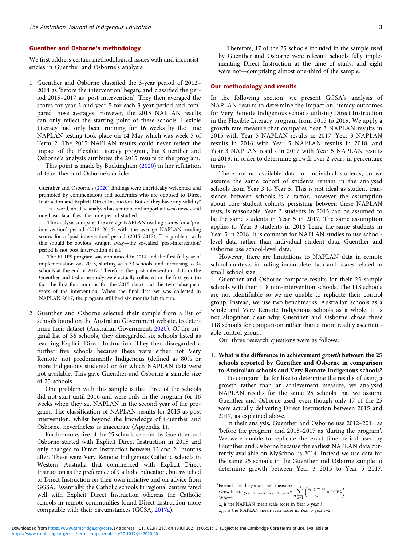#### Guenther and Osborne's methodology

We first address certain methodological issues with and inconsistencies in Guenther and Osborne's analysis.

1. Guenther and Osborne classified the 3-year period of 2012– 2014 as 'before the intervention' began, and classified the period 2015–2017 as 'post intervention'. They then averaged the scores for year 3 and year 5 for each 3-year period and compared those averages. However, the 2015 NAPLAN results can only reflect the starting point of these schools. Flexible Literacy had only been running for 16 weeks by the time NAPLAN testing took place on 14 May which was week 5 of Term 2. The 2015 NAPLAN results could never reflect the impact of the Flexible Literacy program, but Guenther and Osborne's analysis attributes the 2015 results to the program.

This point is made by Buckingham ([2020\)](#page-8-0) in her refutation of Guenther and Osborne's article:

Guenther and Osborne's [\(2020](#page-8-0)) findings were uncritically welcomed and promoted by commentators and academics who are opposed to Direct Instruction and Explicit Direct Instruction. But do they have any validity?

In a word, no. The analysis has a number of important weaknesses and one basic fatal flaw: the time period studied.

The analysis compares the average NAPLAN reading scores for a 'preintervention' period (2012–2014) with the average NAPLAN reading scores for a 'post-intervention' period (2015–2017). The problem with this should be obvious straight away—the so-called 'post-intervention' period is not post-intervention at all.

The FLRPS program was announced in 2014 and the first full year of implementation was 2015, starting with 33 schools, and increasing to 34 schools at the end of 2017. Therefore, the 'post-intervention' data in the Guenther and Osborne study were actually collected in the first year (in fact the first four months for the 2015 data) and the two subsequent years of the intervention. When the final data set was collected in NAPLAN 2017, the program still had six months left to run.

2. Guenther and Osborne selected their sample from a list of schools found on the Australian Government website, to determine their dataset (Australian Government, [2020](#page-8-0)). Of the original list of 36 schools, they disregarded six schools listed as teaching Explicit Direct Instruction. They then disregarded a further five schools because these were either not Very Remote, not predominantly Indigenous (defined as 80% or more Indigenous students) or for which NAPLAN data were not available. This gave Guenther and Osborne a sample size of 25 schools.

One problem with this sample is that three of the schools did not start until 2016 and were only in the program for 16 weeks when they sat NAPLAN in the second year of the program. The classification of NAPLAN results for 2015 as post intervention, whilst beyond the knowledge of Guenther and Osborne, nevertheless is inaccurate (Appendix 1).

Furthermore, five of the 25 schools selected by Guenther and Osborne started with Explicit Direct Instruction in 2015 and only changed to Direct Instruction between 12 and 24 months after. These were Very Remote Indigenous Catholic schools in Western Australia that commenced with Explicit Direct Instruction as the preference of Catholic Education, but switched to Direct Instruction on their own initiative and on advice from GGSA. Essentially, the Catholic schools in regional centres fared well with Explicit Direct Instruction whereas the Catholic schools in remote communities found Direct Instruction more compatible with their circumstances (GGSA, [2017a\)](#page-8-0).

Therefore, 17 of the 25 schools included in the sample used by Guenther and Osborne were relevant schools fully implementing Direct Instruction at the time of study, and eight were not—comprising almost one-third of the sample.

#### Our methodology and results

In the following section, we present GGSA's analysis of NAPLAN results to determine the impact on literacy outcomes for Very Remote Indigenous schools utilising Direct Instruction in the Flexible Literacy program from 2015 to 2019. We apply a growth rate measure that compares Year 3 NAPLAN results in 2015 with Year 5 NAPLAN results in 2017; Year 3 NAPLAN results in 2016 with Year 5 NAPLAN results in 2018; and Year 3 NAPLAN results in 2017 with Year 5 NAPLAN results in 2019, in order to determine growth over 2 years in percentage terms<sup>1</sup>.

There are no available data for individual students, so we assume the same cohort of students remain in the analysed schools from Year 3 to Year 5. This is not ideal as student transience between schools is a factor, however the assumption about core student cohorts persisting between these NAPLAN tests, is reasonable. Year 3 students in 2015 can be assumed to be the same students in Year 5 in 2017. The same assumption applies to Year 3 students in 2016 being the same students in Year 5 in 2018. It is common for NAPLAN studies to use schoollevel data rather than individual student data. Guenther and Osborne use school-level data.

However, there are limitations to NAPLAN data in remote school contexts including incomplete data and issues related to small school size.

Guenther and Osborne compare results for their 25 sample schools with their 118 non-intervention schools. The 118 schools are not identifiable so we are unable to replicate their control group. Instead, we use two benchmarks: Australian schools as a whole and Very Remote Indigenous schools as a whole. It is not altogether clear why Guenther and Osborne chose these 118 schools for comparison rather than a more readily ascertainable control group.

Our three research questions were as follows:

# 1. What is the difference in achievement growth between the 25 schools reported by Guenther and Osborne in comparison to Australian schools and Very Remote Indigenous schools?

To compare like for like to determine the results of using a growth rather than an achievement measure, we analysed NAPLAN results for the same 25 schools that we assume Guenther and Osborne used, even though only 17 of the 25 were actually delivering Direct Instruction between 2015 and 2017, as explained above.

In their analysis, Guenther and Osborne use 2012–2014 as 'before the program' and 2015–2017 as 'during the program'. We were unable to replicate the exact time period used by Guenther and Osborne because the earliest NAPLAN data currently available on MySchool is 2014. Instead we use data for the same 25 schools in the Guenther and Osborne sample to determine growth between Year 3 2015 to Year 5 2017.

<sup>&</sup>lt;sup>1</sup>Formula for the growth rate measure:  $\frac{1}{n}$   $\sum_{k=1}^{n}$  Growth rate (Year 5 yeari+2–Year 3 yeari) =  $\frac{1}{n}$   $\sum_{k=1}^{n}$  $x_{i+2} - x_i$  $\left(\frac{x_{i+2}-x_i}{x_i}\times 100\% \right)$ 

 $k=1$ Where:  $x_i$  is the NAPLAN mean scale score in Year 3 year  $i$ 

 $x_{i+2}$  is the NAPLAN mean scale score in Year 5 year  $i+2$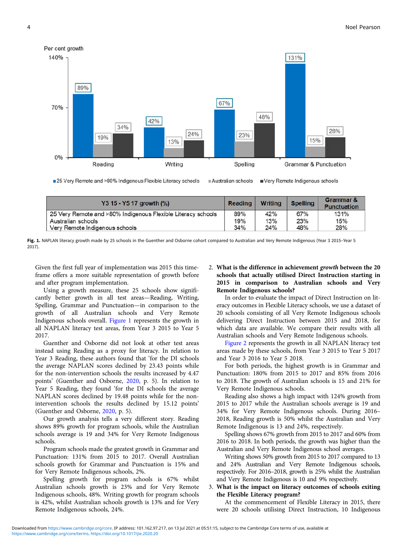

■ 25 Very Remote and >80% Indigenous Flexible Literacy schools Australian schools Very Remote Indigenous schools

| Y3 15 - Y5 17 growth (%)                                     |     | Writing | <b>Spelling</b> | Grammar &<br><b>Punctuation</b> |
|--------------------------------------------------------------|-----|---------|-----------------|---------------------------------|
| 25 Very Remote and >80% Indigenous Flexible Literacy schools | 89% | 42%     | 67%             | 131%                            |
| Australian schools                                           | 19% | 13%     | 23%             | 15%                             |
| Very Remote Indigenous schools                               | 34% | 24%     | 48%             | 28%                             |

Fig. 1. NAPLAN literacy growth made by 25 schools in the Guenther and Osborne cohort compared to Australian and Very Remote Indigenous (Year 3 2015–Year 5) 2017).

Given the first full year of implementation was 2015 this timeframe offers a more suitable representation of growth before and after program implementation.

Using a growth measure, these 25 schools show significantly better growth in all test areas—Reading, Writing, Spelling, Grammar and Punctuation—in comparison to the growth of all Australian schools and Very Remote Indigenous schools overall. Figure 1 represents the growth in all NAPLAN literacy test areas, from Year 3 2015 to Year 5 2017.

Guenther and Osborne did not look at other test areas instead using Reading as a proxy for literacy. In relation to Year 3 Reading, these authors found that 'for the DI schools the average NAPLAN scores declined by 23.43 points while for the non-intervention schools the results increased by 4.47 points' (Guenther and Osborne, [2020,](#page-8-0) p. 5). In relation to Year 5 Reading, they found 'for the DI schools the average NAPLAN scores declined by 19.48 points while for the nonintervention schools the results declined by 15.12 points' (Guenther and Osborne, [2020](#page-8-0), p. 5).

Our growth analysis tells a very different story. Reading shows 89% growth for program schools, while the Australian schools average is 19 and 34% for Very Remote Indigenous schools.

Program schools made the greatest growth in Grammar and Punctuation: 131% from 2015 to 2017. Overall Australian schools growth for Grammar and Punctuation is 15% and for Very Remote Indigenous schools, 2%.

Spelling growth for program schools is 67% whilst Australian schools growth is 23% and for Very Remote Indigenous schools, 48%. Writing growth for program schools is 42%, whilst Australian schools growth is 13% and for Very Remote Indigenous schools, 24%.

# 2. What is the difference in achievement growth between the 20 schools that actually utilised Direct Instruction starting in 2015 in comparison to Australian schools and Very Remote Indigenous schools?

In order to evaluate the impact of Direct Instruction on literacy outcomes in Flexible Literacy schools, we use a dataset of 20 schools consisting of all Very Remote Indigenous schools delivering Direct Instruction between 2015 and 2018, for which data are available. We compare their results with all Australian schools and Very Remote Indigenous schools.

[Figure 2](#page-4-0) represents the growth in all NAPLAN literacy test areas made by these schools, from Year 3 2015 to Year 5 2017 and Year 3 2016 to Year 5 2018.

For both periods, the highest growth is in Grammar and Punctuation: 180% from 2015 to 2017 and 85% from 2016 to 2018. The growth of Australian schools is 15 and 21% for Very Remote Indigenous schools.

Reading also shows a high impact with 124% growth from 2015 to 2017 while the Australian schools average is 19 and 34% for Very Remote Indigenous schools. During 2016– 2018, Reading growth is 50% whilst the Australian and Very Remote Indigenous is 13 and 24%, respectively.

Spelling shows 67% growth from 2015 to 2017 and 60% from 2016 to 2018. In both periods, the growth was higher than the Australian and Very Remote Indigenous school averages.

Writing shows 50% growth from 2015 to 2017 compared to 13 and 24% Australian and Very Remote Indigenous schools, respectively. For 2016–2018, growth is 25% whilst the Australian and Very Remote Indigenous is 10 and 9% respectively.

# 3. What is the impact on literacy outcomes of schools exiting the Flexible Literacy program?

At the commencement of Flexible Literacy in 2015, there were 20 schools utilising Direct Instruction, 10 Indigenous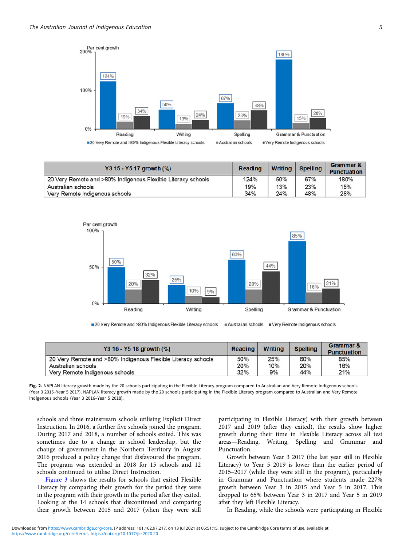<span id="page-4-0"></span>

| Y3 15 - Y5 17 growth (%)                                     | <b>Reading</b> | <b>Writing</b> | <b>Spelling</b> | Grammar &<br><b>Punctuation</b> |
|--------------------------------------------------------------|----------------|----------------|-----------------|---------------------------------|
| 20 Very Remote and >80% Indigenous Flexible Literacy schools | 124%           | 50%            | 67%             | 180%                            |
| Australian schools                                           | 19%            | 13%            | 23%             | 15%                             |
| Very Remote Indigenous schools                               | 34%            | 24%            | 48%             | 28%                             |



■ 20 Very Remote and >80% Indigenous Flexible Literacy schools Australian schools Very Remote Indigenous schools

| Y3 16 - Y5 18 growth (%)                                     | Reading | Writing | <b>Spelling</b> | Grammar &<br><b>Punctuation</b> |
|--------------------------------------------------------------|---------|---------|-----------------|---------------------------------|
| 20 Very Remote and >80% Indigenous Flexible Literacy schools | 50%     | 25%     | 60%             | 85%                             |
| Australian schools                                           | 20%     | 10%     | 20%             | 16%                             |
| Very Remote Indigenous schools                               | 32%     | 9%      | 44%             | 21%                             |

Fig. 2. NAPLAN literacy growth made by the 20 schools participating in the Flexible Literacy program compared to Australian and Very Remote Indigenous schools (Year 3 2015–Year 5 2017). NAPLAN literacy growth made by the 20 schools participating in the Flexible Literacy program compared to Australian and Very Remote Indigenous schools (Year 3 2016–Year 5 2018).

schools and three mainstream schools utilising Explicit Direct Instruction. In 2016, a further five schools joined the program. During 2017 and 2018, a number of schools exited. This was sometimes due to a change in school leadership, but the change of government in the Northern Territory in August 2016 produced a policy change that disfavoured the program. The program was extended in 2018 for 15 schools and 12 schools continued to utilise Direct Instruction.

[Figure 3](#page-5-0) shows the results for schools that exited Flexible Literacy by comparing their growth for the period they were in the program with their growth in the period after they exited. Looking at the 14 schools that discontinued and comparing their growth between 2015 and 2017 (when they were still

participating in Flexible Literacy) with their growth between 2017 and 2019 (after they exited), the results show higher growth during their time in Flexible Literacy across all test areas—Reading, Writing, Spelling and Grammar and Punctuation.

Growth between Year 3 2017 (the last year still in Flexible Literacy) to Year 5 2019 is lower than the earlier period of 2015–2017 (while they were still in the program), particularly in Grammar and Punctuation where students made 227% growth between Year 3 in 2015 and Year 5 in 2017. This dropped to 65% between Year 3 in 2017 and Year 5 in 2019 after they left Flexible Literacy.

In Reading, while the schools were participating in Flexible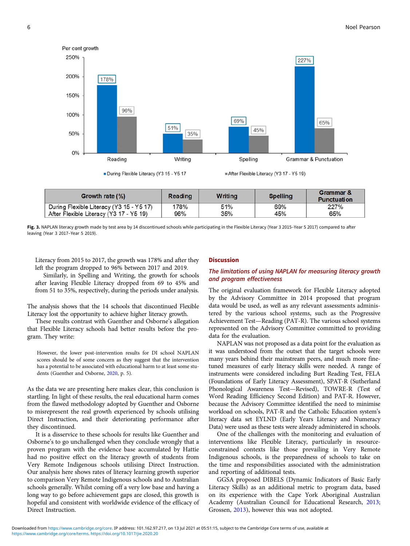<span id="page-5-0"></span>

| <b>Growth rate (%)</b>                   | Reading | <b>Writing</b> | <b>Spelling</b> | Grammar &<br><b>Punctuation</b> |
|------------------------------------------|---------|----------------|-----------------|---------------------------------|
| During Flexible Literacy (Y3 15 - Y5 17) | 178%    | 51%            | 69%             | 227%                            |
| After Flexible Literacy (Y3 17 - Y5 19)  | 96%     | 35%            | 45%             | 65%                             |

Fig. 3. NAPLAN literacy growth made by test area by 14 discontinued schools while participating in the Flexible Literacy (Year 3 2015-Year 5 2017) compared to after leaving (Year 3 2017–Year 5 2019).

Literacy from 2015 to 2017, the growth was 178% and after they left the program dropped to 96% between 2017 and 2019.

Similarly, in Spelling and Writing, the growth for schools after leaving Flexible Literacy dropped from 69 to 45% and from 51 to 35%, respectively, during the periods under analysis.

The analysis shows that the 14 schools that discontinued Flexible Literacy lost the opportunity to achieve higher literacy growth.

These results contrast with Guenther and Osborne's allegation that Flexible Literacy schools had better results before the program. They write:

However, the lower post-intervention results for DI school NAPLAN scores should be of some concern as they suggest that the intervention has a potential to be associated with educational harm to at least some students (Guenther and Osborne, [2020,](#page-8-0) p. 5).

As the data we are presenting here makes clear, this conclusion is startling. In light of these results, the real educational harm comes from the flawed methodology adopted by Guenther and Osborne to misrepresent the real growth experienced by schools utilising Direct Instruction, and their deteriorating performance after they discontinued.

It is a disservice to these schools for results like Guenther and Osborne's to go unchallenged when they conclude wrongly that a proven program with the evidence base accumulated by Hattie had no positive effect on the literacy growth of students from Very Remote Indigenous schools utilising Direct Instruction. Our analysis here shows rates of literacy learning growth superior to comparison Very Remote Indigenous schools and to Australian schools generally. Whilst coming off a very low base and having a long way to go before achievement gaps are closed, this growth is hopeful and consistent with worldwide evidence of the efficacy of Direct Instruction.

# **Discussion**

# The limitations of using NAPLAN for measuring literacy growth and program effectiveness

The original evaluation framework for Flexible Literacy adopted by the Advisory Committee in 2014 proposed that program data would be used, as well as any relevant assessments administered by the various school systems, such as the Progressive Achievement Test—Reading (PAT-R). The various school systems represented on the Advisory Committee committed to providing data for the evaluation.

NAPLAN was not proposed as a data point for the evaluation as it was understood from the outset that the target schools were many years behind their mainstream peers, and much more finetuned measures of early literacy skills were needed. A range of instruments were considered including Burt Reading Test, FELA (Foundations of Early Literacy Assessment), SPAT-R (Sutherland Phonological Awareness Test—Revised), TOWRE-R (Test of Word Reading Efficiency Second Edition) and PAT-R. However, because the Advisory Committee identified the need to minimise workload on schools, PAT-R and the Catholic Education system's literacy data set EYLND (Early Years Literacy and Numeracy Data) were used as these tests were already administered in schools.

One of the challenges with the monitoring and evaluation of interventions like Flexible Literacy, particularly in resourceconstrained contexts like those prevailing in Very Remote Indigenous schools, is the preparedness of schools to take on the time and responsibilities associated with the administration and reporting of additional tests.

GGSA proposed DIBELS (Dynamic Indicators of Basic Early Literacy Skills) as an additional metric to program data, based on its experience with the Cape York Aboriginal Australian Academy (Australian Council for Educational Research, [2013;](#page-8-0) Grossen, [2013\)](#page-8-0), however this was not adopted.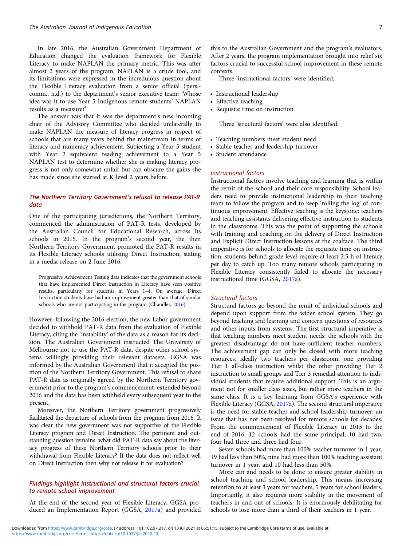In late 2016, the Australian Government Department of Education changed the evaluation framework for Flexible Literacy to make NAPLAN the primary metric. This was after almost 2 years of the program. NAPLAN is a crude tool, and its limitations were expressed in the incredulous question about the Flexible Literacy evaluation from a senior official (pers. comm., n.d.) to the department's senior executive team: 'Whose idea was it to use Year 5 Indigenous remote students' NAPLAN results as a measure?'

The answer was that it was the department's new incoming chair of the Advisory Committee who decided unilaterally to make NAPLAN the measure of literacy progress in respect of schools that are many years behind the mainstream in terms of literacy and numeracy achievement. Subjecting a Year 5 student with Year 2 equivalent reading achievement to a Year 5 NAPLAN test to determine whether she is making literacy progress is not only somewhat unfair but can obscure the gains she has made since she started at K level 2 years before.

# The Northern Territory Government's refusal to release PAT-R data

One of the participating jurisdictions, the Northern Territory, commenced the administration of PAT-R tests, developed by the Australian Council for Educational Research, across its schools in 2015. In the program's second year, the then Northern Territory Government promoted the PAT-R results in its Flexible Literacy schools utilising Direct Instruction, stating in a media release on 2 June 2016:

Progressive Achievement Testing data indicates that the government schools that have implemented Direct Instruction in Literacy have seen positive results, particularly for students in Years 1–4. On average, Direct Instruction students have had an improvement greater than that of similar schools who are not participating in the program (Chandler, [2016\)](#page-8-0).

However, following the 2016 election, the new Labor government decided to withhold PAT-R data from the evaluation of Flexible Literacy, citing the 'instability' of the data as a reason for its decision. The Australian Government instructed The University of Melbourne not to use the PAT-R data, despite other school systems willingly providing their relevant datasets. GGSA was informed by the Australian Government that it accepted the position of the Northern Territory Government. This refusal to share PAT-R data as originally agreed by the Northern Territory government prior to the program's commencement, extended beyond 2016 and the data has been withheld every subsequent year to the present.

Moreover, the Northern Territory government progressively facilitated the departure of schools from the program from 2016. It was clear the new government was not supportive of the Flexible Literacy program and Direct Instruction. The pertinent and outstanding question remains: what did PAT-R data say about the literacy progress of these Northern Territory schools prior to their withdrawal from Flexible Literacy? If the data does not reflect well on Direct Instruction then why not release it for evaluation?

# Findings highlight instructional and structural factors crucial to remote school improvement

At the end of the second year of Flexible Literacy, GGSA produced an Implementation Report (GGSA, [2017a](#page-8-0)) and provided this to the Australian Government and the program's evaluators. After 2 years, the program implementation brought into relief six factors crucial to successful school improvement in these remote contexts.

Three 'instructional factors' were identified:

- Instructional leadership
- Effective teaching
- Requisite time on instruction

Three 'structural factors' were also identified:

- Teaching numbers meet student need
- Stable teacher and leadership turnover
- Student attendance

#### Instructional factors

Instructional factors involve teaching and learning that is within the remit of the school and their core responsibility. School leaders need to provide instructional leadership to their teaching team to follow the program and to keep 'rolling the log' of continuous improvement. Effective teaching is the keystone: teachers and teaching assistants delivering effective instruction to students in the classrooms. This was the point of supporting the schools with training and coaching on the delivery of Direct Instruction and Explicit Direct Instruction lessons at the coalface. The third imperative is for schools to allocate the requisite time on instruction: students behind grade level require at least 2.5 h of literacy per day to catch up. Too many remote schools participating in Flexible Literacy consistently failed to allocate the necessary instructional time (GGSA, [2017a\)](#page-8-0).

#### Structural factors

Structural factors go beyond the remit of individual schools and depend upon support from the wider school system. They go beyond teaching and learning and concern questions of resources and other inputs from systems. The first structural imperative is that teaching numbers meet student needs: the schools with the greatest disadvantage do not have sufficient teacher numbers. The achievement gap can only be closed with more teaching resources, ideally two teachers per classroom: one providing Tier 1 all-class instruction whilst the other providing Tier 2 instruction to small groups and Tier 3 remedial attention to individual students that require additional support. This is an argument not for smaller class sizes, but rather more teachers in the same class. It is a key learning from GGSA's experience with Flexible Literacy (GGSA, [2017a](#page-8-0)). The second structural imperative is the need for stable teacher and school leadership turnover: an issue that has not been resolved for remote schools for decades. From the commencement of Flexible Literacy in 2015 to the end of 2016, 12 schools had the same principal, 10 had two, four had three and three had four.

Seven schools had more than 100% teacher turnover in 1 year, 19 had less than 50%, nine had more than 100% teaching assistant turnover in 1 year, and 10 had less than 50%.

More can and needs to be done to ensure greater stability in school teaching and school leadership. This means increasing retention to at least 3 years for teachers, 5 years for school leaders. Importantly, it also requires more stability in the movement of teachers in and out of schools. It is enormously debilitating for schools to lose more than a third of their teachers in 1 year.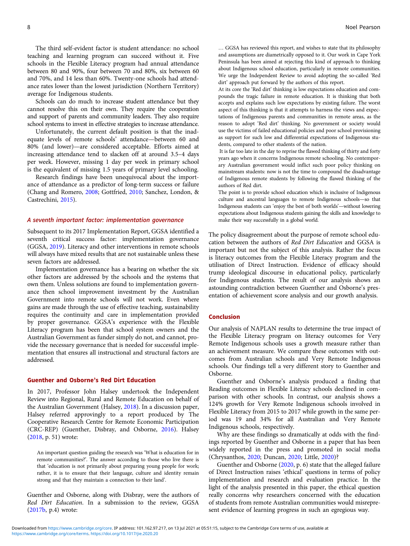The third self-evident factor is student attendance: no school teaching and learning program can succeed without it. Five schools in the Flexible Literacy program had annual attendance between 80 and 90%, four between 70 and 80%, six between 60 and 70%, and 14 less than 60%. Twenty-one schools had attendance rates lower than the lowest jurisdiction (Northern Territory) average for Indigenous students.

Schools can do much to increase student attendance but they cannot resolve this on their own. They require the cooperation and support of parents and community leaders. They also require school systems to invest in effective strategies to increase attendance.

Unfortunately, the current default position is that the inadequate levels of remote schools' attendance—between 60 and 80% (and lower)—are considered acceptable. Efforts aimed at increasing attendance tend to slacken off at around 3.5–4 days per week. However, missing 1 day per week in primary school is the equivalent of missing 1.5 years of primary level schooling.

Research findings have been unequivocal about the importance of attendance as a predictor of long-term success or failure (Chang and Romero, [2008](#page-8-0); Gottfried, [2010;](#page-8-0) Sanchez, London, & Castrechini, [2015](#page-8-0)).

## A seventh important factor: implementation governance

Subsequent to its 2017 Implementation Report, GGSA identified a seventh critical success factor: implementation governance (GGSA, [2019](#page-8-0)). Literacy and other interventions in remote schools will always have mixed results that are not sustainable unless these seven factors are addressed.

Implementation governance has a bearing on whether the six other factors are addressed by the schools and the systems that own them. Unless solutions are found to implementation governance then school improvement investment by the Australian Government into remote schools will not work. Even where gains are made through the use of effective teaching, sustainability requires the continuity and care in implementation provided by proper governance. GGSA's experience with the Flexible Literacy program has been that school system owners and the Australian Government as funder simply do not, and cannot, provide the necessary governance that is needed for successful implementation that ensures all instructional and structural factors are addressed.

#### Guenther and Osborne's Red Dirt Education

In 2017, Professor John Halsey undertook the Independent Review into Regional, Rural and Remote Education on behalf of the Australian Government (Halsey, [2018](#page-8-0)). In a discussion paper, Halsey referred approvingly to a report produced by The Cooperative Research Centre for Remote Economic Participation (CRC-REP) (Guenther, Disbray, and Osborne, [2016\)](#page-8-0). Halsey ([2018](#page-8-0), p. 51) wrote:

An important question guiding the research was 'What is education for in remote communities?'. The answer according to those who live there is that 'education is not primarily about preparing young people for work; rather, it is to ensure that their language, culture and identity remain strong and that they maintain a connection to their land'.

Guenther and Osborne, along with Disbray, were the authors of Red Dirt Education. In a submission to the review, GGSA ([2017b,](#page-8-0) p.4) wrote:

… GGSA has reviewed this report, and wishes to state that its philosophy and assumptions are diametrically opposed to it. Our work in Cape York Peninsula has been aimed at rejecting this kind of approach to thinking about Indigenous school education, particularly in remote communities. We urge the Independent Review to avoid adopting the so-called 'Red dirt' approach put forward by the authors of this report.

At its core the 'Red dirt' thinking is low expectations education and compounds the tragic failure in remote education. It is thinking that both accepts and explains such low expectations by existing failure. The worst aspect of this thinking is that it attempts to harness the views and expectations of Indigenous parents and communities in remote areas, as the reason to adopt 'Red dirt' thinking. No government or society would use the victims of failed educational policies and poor school provisioning as support for such low and differential expectations of Indigenous students, compared to other students of the nation.

It is far too late in the day to reprise the flawed thinking of thirty and forty years ago when it concerns Indigenous remote schooling. No contemporary Australian government would inflict such poor policy thinking on mainstream students: now is not the time to compound the disadvantage of Indigenous remote students by following the flawed thinking of the authors of Red dirt.

The point is to provide school education which is inclusive of Indigenous culture and ancestral languages to remote Indigenous schools—so that Indigenous students can 'enjoy the best of both worlds'—without lowering expectations about Indigenous students gaining the skills and knowledge to make their way successfully in a global world.

The policy disagreement about the purpose of remote school education between the authors of Red Dirt Education and GGSA is important but not the subject of this analysis. Rather the focus is literacy outcomes from the Flexible Literacy program and the utilisation of Direct Instruction. Evidence of efficacy should trump ideological discourse in educational policy, particularly for Indigenous students. The result of our analysis shows an astounding contradiction between Guenther and Osborne's presentation of achievement score analysis and our growth analysis.

# Conclusion

Our analysis of NAPLAN results to determine the true impact of the Flexible Literacy program on literacy outcomes for Very Remote Indigenous schools uses a growth measure rather than an achievement measure. We compare these outcomes with outcomes from Australian schools and Very Remote Indigenous schools. Our findings tell a very different story to Guenther and Osborne.

Guenther and Osborne's analysis produced a finding that Reading outcomes in Flexible Literacy schools declined in comparison with other schools. In contrast, our analysis shows a 124% growth for Very Remote Indigenous schools involved in Flexible Literacy from 2015 to 2017 while growth in the same period was 19 and 34% for all Australian and Very Remote Indigenous schools, respectively.

Why are these findings so dramatically at odds with the findings reported by Guenther and Osborne in a paper that has been widely reported in the press and promoted in social media (Chrysanthos, [2020;](#page-8-0) Duncan, [2020;](#page-8-0) Little, [2020](#page-8-0))?

Guenther and Osborne [\(2020](#page-8-0), p. 6) state that the alleged failure of Direct Instruction raises 'ethical' questions in terms of policy implementation and research and evaluation practice. In the light of the analysis presented in this paper, the ethical question really concerns why researchers concerned with the education of students from remote Australian communities would misrepresent evidence of learning progress in such an egregious way.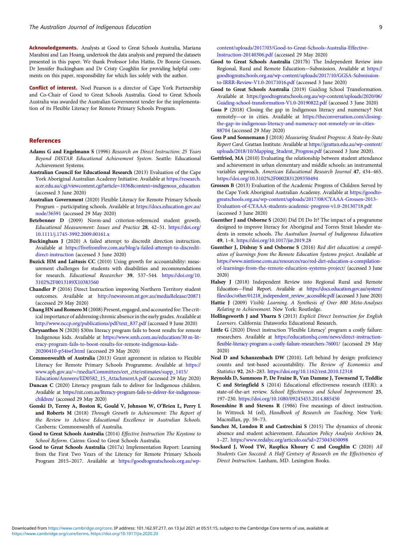<span id="page-8-0"></span>Acknowledgements. Analysts at Good to Great Schools Australia, Mariana Marabini and Lan Hoang, undertook the data analysis and prepared the datasets presented in this paper. We thank Professor John Hattie, Dr Bonnie Grossen, Dr Jennifer Buckingham and Dr Cristy Coughlin for providing helpful comments on this paper, responsibility for which lies solely with the author.

Conflict of interest. Noel Pearson is a director of Cape York Partnership and Co-Chair of Good to Great Schools Australia. Good to Great Schools Australia was awarded the Australian Government tender for the implementation of its Flexible Literacy for Remote Primary Schools Program.

# References

- Adams G and Engelmann S (1996) Research on Direct Instruction: 25 Years Beyond DISTAR Educational Achievement System. Seattle: Educational Achievement Systems.
- Australian Council for Educational Research (2013) Evaluation of the Cape York Aboriginal Australian Academy Initiative. Available at [https://research.](https://research.acer.edu.au/cgi/viewcontent.cgi?article=1036&context=indigenous_education) [acer.edu.au/cgi/viewcontent.cgi?article=1036&context=indigenous\\_education](https://research.acer.edu.au/cgi/viewcontent.cgi?article=1036&context=indigenous_education) (accessed 3 June 2020)
- Australian Government (2020) Flexible Literacy for Remote Primary Schools Program – participating schools. Available at [https://docs.education.gov.au/](https://docs.education.gov.au/node/36591) [node/36591](https://docs.education.gov.au/node/36591) (accessed 29 May 2020)
- Betebenner D (2009) Norm-and criterion-referenced student growth. Educational Measurement: Issues and Practice 28, 42–51. [https://doi.org/](https://doi.org/10.1111/j.1745-3992.2009.00161.x) [10.1111/j.1745-3992.2009.00161.x](https://doi.org/10.1111/j.1745-3992.2009.00161.x)
- Buckingham J (2020) A failed attempt to discredit direction instruction. Available at [https://fivefromfive.com.au/blog/a-failed-attempt-to-discredit](https://fivefromfive.com.au/blog/a-failed-attempt-to-discredit-direct-instruction)[direct-instruction](https://fivefromfive.com.au/blog/a-failed-attempt-to-discredit-direct-instruction) (accessed 3 June 2020)
- Buzick HM and Laitusis CC (2010) Using growth for accountability: measurement challenges for students with disabilities and recommendations for research. Educational Researcher 39, 537-544. [https://doi.org/10.](https://doi.org/10.3102%2F0013189X10383560) [3102%2F0013189X10383560](https://doi.org/10.3102%2F0013189X10383560)
- Chandler P (2016) Direct Instruction improving Northern Territory student outcomes. Available at <http://newsroom.nt.gov.au/mediaRelease/20871> (accessed 29 May 2020)
- Chang HN and Romero M (2008) Present, engaged, and accounted for: The critical importance of addressing chronic absence in the early grades. Available at [http://www.nccp.org/publications/pdf/text\\_837.pdf](http://www.nccp.org/publications/pdf/text_837.pdf) (accessed 9 June 2020)
- Chrysanthos N (2020) \$30m literacy program fails to boost results for remote Indigenous kids. Available at [https://www.smh.com.au/education/30 m-lit](https://www.smh.com.au/education/30m-literacy-program-fails-to-boost-results-for-remote-indigenous-kids-20200410-p54iwf.html)[eracy-program-fails-to-boost-results-for-remote-indigenous-kids-](https://www.smh.com.au/education/30m-literacy-program-fails-to-boost-results-for-remote-indigenous-kids-20200410-p54iwf.html)[20200410-p54iwf.html](https://www.smh.com.au/education/30m-literacy-program-fails-to-boost-results-for-remote-indigenous-kids-20200410-p54iwf.html) (accessed 29 May 2020)
- Commonwealth of Australia (2013) Grant agreement in relation to Flexible Literacy for Remote Primary Schools Programme. Available at [https://](https://www.aph.gov.au/~/media/Committees/eet_ctte/estimates/supp_1415/Education/Answers/ED0582_15_AttachmentA.pdf) www.aph.gov.au/∼[/media/Committees/eet\\_ctte/estimates/supp\\_1415/](https://www.aph.gov.au/~/media/Committees/eet_ctte/estimates/supp_1415/Education/Answers/ED0582_15_AttachmentA.pdf)
- [Education/Answers/ED0582\\_15\\_AttachmentA.pdf](https://www.aph.gov.au/~/media/Committees/eet_ctte/estimates/supp_1415/Education/Answers/ED0582_15_AttachmentA.pdf) (accessed 29 May 2020)
- Duncan C (2020) Literacy program fails to deliver for Indigenous children. Available at [https://nit.com.au/literacy-program-fails-to-deliver-for-indigenous](https://nit.com.au/literacy-program-fails-to-deliver-for-indigenous-children/)[children/](https://nit.com.au/literacy-program-fails-to-deliver-for-indigenous-children/) (accessed 29 May 2020)
- Gonski D, Terrey A, Boston K, Gould V, Johnson W, O'Brien L, Perry L and Roberts M (2018) Through Growth to Achievement: The Report of the Review to Achieve Educational Excellence in Australian Schools. Canberra: Commonwealth of Australia.
- Good to Great Schools Australia (2014) Effective Instruction The Keystone to School Reform. Cairns: Good to Great Schools Australia.
- Good to Great Schools Australia (2017a) Implementation Report: Learning from the First Two Years of the Literacy for Remote Primary Schools Program 2015–2017. Available at [https://goodtogreatschools.org.au/wp-](https://goodtogreatschools.org.au/wp-content/uploads/2017/03/Good-to-Great-Schools-Australia-Effective-Instruction-20140306.pdf)

[content/uploads/2017/03/Good-to-Great-Schools-Australia-Effective-](https://goodtogreatschools.org.au/wp-content/uploads/2017/03/Good-to-Great-Schools-Australia-Effective-Instruction-20140306.pdf)[Instruction-20140306.pdf](https://goodtogreatschools.org.au/wp-content/uploads/2017/03/Good-to-Great-Schools-Australia-Effective-Instruction-20140306.pdf) (accessed 29 May 2020)

- Good to Great Schools Australia (2017b) The Independent Review into Regional, Rural and Remote Education—Submission. Available at [https://](https://goodtogreatschools.org.au/wp-content/uploads/2017/10/GGSA-Submission-to-IRRR-Review-V1.0-20171016.pdf) [goodtogreatschools.org.au/wp-content/uploads/2017/10/GGSA-Submission](https://goodtogreatschools.org.au/wp-content/uploads/2017/10/GGSA-Submission-to-IRRR-Review-V1.0-20171016.pdf)[to-IRRR-Review-V1.0-20171016.pdf](https://goodtogreatschools.org.au/wp-content/uploads/2017/10/GGSA-Submission-to-IRRR-Review-V1.0-20171016.pdf) (accessed 3 June 2020)
- Good to Great Schools Australia (2019) Guiding School Transformation. Available at [https://goodtogreatschools.org.au/wp-content/uploads/2020/06/](https://goodtogreatschools.org.au/wp-content/uploads/2020/06/Guiding-school-transformation-V1.0-20190822.pdf) [Guiding-school-transformation-V1.0-20190822.pdf](https://goodtogreatschools.org.au/wp-content/uploads/2020/06/Guiding-school-transformation-V1.0-20190822.pdf) (accessed 3 June 2020)
- Goss P (2018) Closing the gap in Indigenous literacy and numeracy? Not remotely—or in cities. Available at [https://theconversation.com/closing](https://theconversation.com/closing-the-gap-in-indigenous-literacy-and-numeracy-not-remotely-or-in-cities-88704)[the-gap-in-indigenous-literacy-and-numeracy-not-remotely-or-in-cities-](https://theconversation.com/closing-the-gap-in-indigenous-literacy-and-numeracy-not-remotely-or-in-cities-88704)[88704](https://theconversation.com/closing-the-gap-in-indigenous-literacy-and-numeracy-not-remotely-or-in-cities-88704) (accessed 29 May 2020)
- Goss P and Sonnemann J (2018) Measuring Student Progress: A State-by-State Report Card. Grattan Institute. Available at [https://grattan.edu.au/wp-content/](https://grattan.edu.au/wp-content/uploads/2018/10/Mapping_Student_Progress.pdf) [uploads/2018/10/Mapping\\_Student\\_Progress.pdf](https://grattan.edu.au/wp-content/uploads/2018/10/Mapping_Student_Progress.pdf) (accessed 3 June 2020).
- Gottfried, MA (2010) Evaluating the relationship between student attendance and achievement in urban elementary and middle schools: an instrumental variables approach. American Educational Research Journal 47, 434–465. <https://doi.org/10.3102%2F0002831209350494>
- Grossen B (2013) Evaluation of the Academic Progress of Children Served by the Cape York Aboriginal Australian Academy. Available at [https://goodto](https://goodtogreatschools.org.au/wp-content/uploads/2017/08/CYAAA-Grossen-2013-Evaluation-of-CYAAA-students-academic-progress-v1.0-20130718.pdf)[greatschools.org.au/wp-content/uploads/2017/08/CYAAA-Grossen-2013-](https://goodtogreatschools.org.au/wp-content/uploads/2017/08/CYAAA-Grossen-2013-Evaluation-of-CYAAA-students-academic-progress-v1.0-20130718.pdf) [Evaluation-of-CYAAA-students-academic-progress-v1.0-20130718.pdf](https://goodtogreatschools.org.au/wp-content/uploads/2017/08/CYAAA-Grossen-2013-Evaluation-of-CYAAA-students-academic-progress-v1.0-20130718.pdf) (accessed 3 June 2020)
- Guenther J and Osborne S (2020) Did DI Do It? The impact of a programme designed to improve literacy for Aboriginal and Torres Strait Islander students in remote schools. The Australian Journal of Indigenous Education 49, 1–8. <https://doi.org/10.1017/jie.2019.28>
- Guenther J, Disbray S and Osborne S (2016) Red dirt education: a compilation of learnings from the Remote Education Systems project. Available at [https://www.nintione.com.au/resources/rao/red-dirt-education-a-compilation](https://www.nintione.com.au/resources/rao/red-dirt-education-a-compilation-of-learnings-from-the-remote-education-systems-project/)[of-learnings-from-the-remote-education-systems-project/](https://www.nintione.com.au/resources/rao/red-dirt-education-a-compilation-of-learnings-from-the-remote-education-systems-project/) (accessed 3 June 2020)
- Halsey J (2018) Independent Review into Regional Rural and Remote Education—Final Report. Available at [https://docs.education.gov.au/system/](https://docs.education.gov.au/system/files/doc/other/01218_independent_review_accessible.pdf) [files/doc/other/01218\\_independent\\_review\\_accessible.pdf](https://docs.education.gov.au/system/files/doc/other/01218_independent_review_accessible.pdf) (accessed 3 June 2020)
- Hattie J (2009) Visible Learning. A Synthesis of Over 800 Meta-Analyses Relating to Achievement. New York: Routledge.
- Hollingsworth J and Ybarra S (2013) Explicit Direct Instruction for English Learners. California: Dataworks Educational Research.
- Little G (2020) Direct instruction 'Flexible Literacy' program a costly failure: researchers. Available at [https://educationhq.com/news/direct-instruction](https://educationhq.com/news/direct-instruction-flexible-literacy-program-a-costly-failure-researchers-76001/)[flexible-literacy-program-a-costly-failure-researchers-76001/](https://educationhq.com/news/direct-instruction-flexible-literacy-program-a-costly-failure-researchers-76001/) (accessed 29 May 2020)
- Neal D and Schanzenbach DW (2010). Left behind by design: proficiency counts and test-based accountability. The Review of Economics and Statistics 92, 263–283. <https://doi.org/10.1162/rest.2010.12318>
- Reynolds D, Sammons P, De Fraine B, Van Damme J, Townsend T, Teddlie C and Stringfield S (2014) Educational effectiveness research (EER): a state-of-the-art review. School Effectiveness and School Improvement 25, 197–230. <https://doi.org/10.1080/09243453.2014.885450>
- Rosenshine B and Stevens R (1986) Five meanings of direct instruction. In Wittrock M (ed), Handbook of Research on Teaching. New York: Macmillan, pp. 59–73.
- Sanchez M, London R and Castrechini S (2015) The dynamics of chronic absence and student achievement. Education Policy Analysis Archives 24, 1–27. <https://www.redalyc.org/articulo.oa?id=275043450098>
- Stockard J, Wood TW, Rasplica Khoury C and Coughlin C (2020) All Students Can Succeed: A Half Century of Research on the Effectiveness of Direct Instruction. Lanham, MD. Lexington Books.